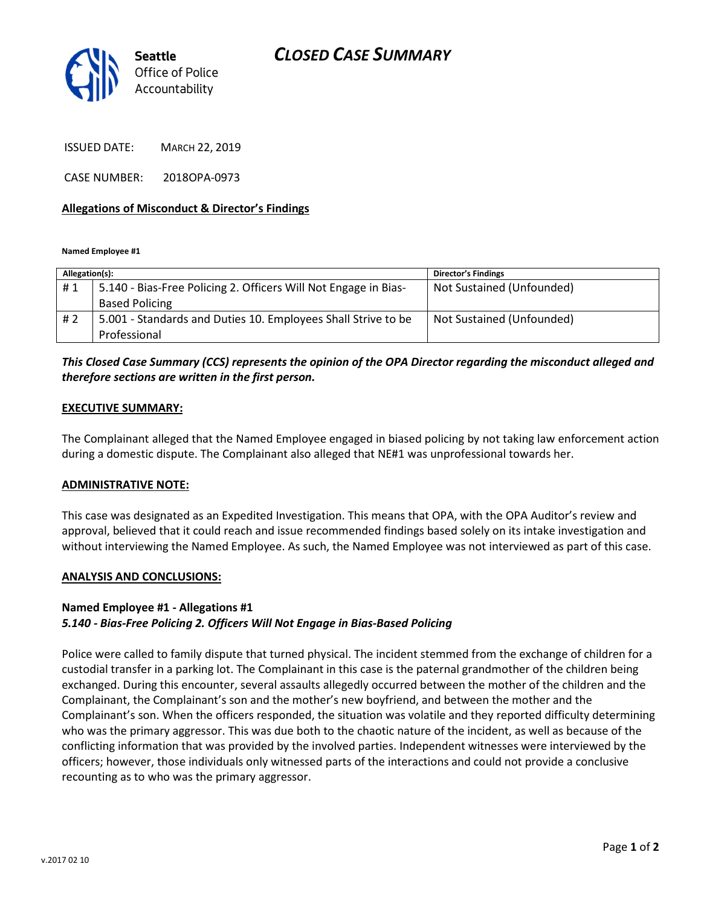

ISSUED DATE: MARCH 22, 2019

CASE NUMBER: 2018OPA-0973

#### Allegations of Misconduct & Director's Findings

Named Employee #1

| Allegation(s): |                                                                 | <b>Director's Findings</b> |
|----------------|-----------------------------------------------------------------|----------------------------|
| #1             | 5.140 - Bias-Free Policing 2. Officers Will Not Engage in Bias- | Not Sustained (Unfounded)  |
|                | <b>Based Policing</b>                                           |                            |
| # 2            | 5.001 - Standards and Duties 10. Employees Shall Strive to be   | Not Sustained (Unfounded)  |
|                | Professional                                                    |                            |

# This Closed Case Summary (CCS) represents the opinion of the OPA Director regarding the misconduct alleged and therefore sections are written in the first person.

#### EXECUTIVE SUMMARY:

The Complainant alleged that the Named Employee engaged in biased policing by not taking law enforcement action during a domestic dispute. The Complainant also alleged that NE#1 was unprofessional towards her.

#### ADMINISTRATIVE NOTE:

This case was designated as an Expedited Investigation. This means that OPA, with the OPA Auditor's review and approval, believed that it could reach and issue recommended findings based solely on its intake investigation and without interviewing the Named Employee. As such, the Named Employee was not interviewed as part of this case.

#### ANALYSIS AND CONCLUSIONS:

### Named Employee #1 - Allegations #1

# 5.140 - Bias-Free Policing 2. Officers Will Not Engage in Bias-Based Policing

Police were called to family dispute that turned physical. The incident stemmed from the exchange of children for a custodial transfer in a parking lot. The Complainant in this case is the paternal grandmother of the children being exchanged. During this encounter, several assaults allegedly occurred between the mother of the children and the Complainant, the Complainant's son and the mother's new boyfriend, and between the mother and the Complainant's son. When the officers responded, the situation was volatile and they reported difficulty determining who was the primary aggressor. This was due both to the chaotic nature of the incident, as well as because of the conflicting information that was provided by the involved parties. Independent witnesses were interviewed by the officers; however, those individuals only witnessed parts of the interactions and could not provide a conclusive recounting as to who was the primary aggressor.